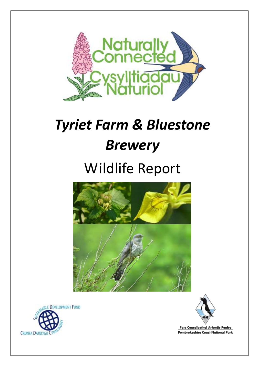

# *Tyriet Farm & Bluestone Brewery*

# Wildlife Report



**WE DEVELOPMENT FUND CRONFA DATBLYGL** 



Parc Cenedlaethol Arfordir Penfro Pembrokeshire Coast National Park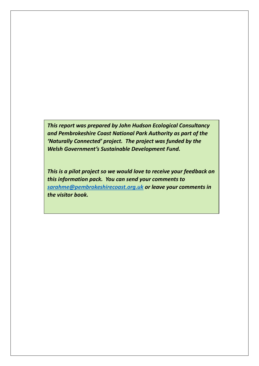*This report was prepared by John Hudson Ecological Consultancy and Pembrokeshire Coast National Park Authority as part of the 'Naturally Connected' project. The project was funded by the Welsh Government's Sustainable Development Fund.*

*This is a pilot project so we would love to receive your feedback on this information pack. You can send your comments to [sarahme@pembrokeshirecoast.org.uk](mailto:sarahme@pembrokeshirecoast.org.uk) or leave your comments in the visitor book.*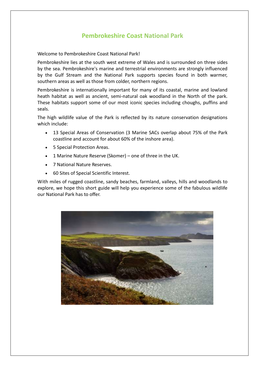## **Pembrokeshire Coast National Park**

Welcome to Pembrokeshire Coast National Park!

Pembrokeshire lies at the south west extreme of Wales and is surrounded on three sides by the sea. Pembrokeshire's marine and terrestrial environments are strongly influenced by the Gulf Stream and the National Park supports species found in both warmer, southern areas as well as those from colder, northern regions.

Pembrokeshire is internationally important for many of its coastal, marine and lowland heath habitat as well as ancient, semi-natural oak woodland in the North of the park. These habitats support some of our most iconic species including choughs, puffins and seals.

The high wildlife value of the Park is reflected by its nature conservation designations which include:

- 13 Special Areas of Conservation (3 Marine SACs overlap about 75% of the Park coastline and account for about 60% of the inshore area).
- 5 Special Protection Areas.
- 1 Marine Nature Reserve (Skomer) one of three in the UK.
- 7 National Nature Reserves.
- 60 Sites of Special Scientific Interest.

With miles of rugged coastline, sandy beaches, farmland, valleys, hills and woodlands to explore, we hope this short guide will help you experience some of the fabulous wildlife our National Park has to offer.

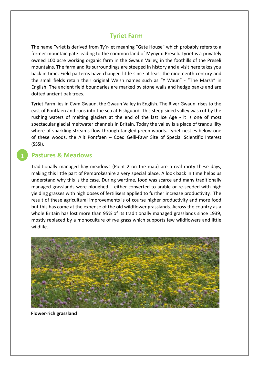## **Tyriet Farm**

The name Tyriet is derived from Ty'r-let meaning "Gate House" which probably refers to a former mountain gate leading to the common land of Mynydd Preseli. Tyriet is a privately owned 100 acre working organic farm in the Gwaun Valley, in the foothills of the Preseli mountains. The farm and its surroundings are steeped in history and a visit here takes you back in time. Field patterns have changed little since at least the nineteenth century and the small fields retain their original Welsh names such as "Y Waun" - "The Marsh" in English. The ancient field boundaries are marked by stone walls and hedge banks and are dotted ancient oak trees.

Tyriet Farm lies in Cwm Gwaun, the Gwaun Valley in English. The River Gwaun rises to the east of Pontfaen and runs into the sea at Fishguard. This steep sided valley was cut by the rushing waters of melting glaciers at the end of the last Ice Age - it is one of most spectacular glacial meltwater channels in Britain. Today the valley is a place of tranquillity where of sparkling streams flow through tangled green woods. Tyriet nestles below one of these woods, the Allt Pontfaen – Coed Gelli-Fawr Site of Special Scientific Interest (SSSI).

## **Pastures & Meadows**

Traditionally managed hay meadows (Point 2 on the map) are a real rarity these days, making this little part of Pembrokeshire a very special place. A look back in time helps us understand why this is the case. During wartime, food was scarce and many traditionally managed grasslands were ploughed – either converted to arable or re-seeded with high yielding grasses with high doses of fertilisers applied to further increase productivity. The result of these agricultural improvements is of course higher productivity and more food but this has come at the expense of the old wildflower grasslands. Across the country as a whole Britain has lost more than 95% of its traditionally managed grasslands since 1939, mostly replaced by a monoculture of rye grass which supports few wildflowers and little wildlife.



**Flower-rich grassland**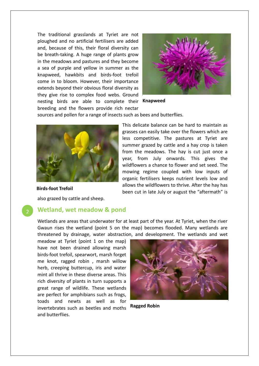The traditional grasslands at Tyriet are not ploughed and no artificial fertilisers are added and, because of this, their floral diversity can be breath-taking. A huge range of plants grow in the meadows and pastures and they become a sea of purple and yellow in summer as the knapweed, hawkbits and birds-foot trefoil come in to bloom. However, their importance extends beyond their obvious floral diversity as they give rise to complex food webs. Ground nesting birds are able to complete their **Knapweed** breeding and the flowers provide rich nectar



sources and pollen for a range of insects such as bees and butterflies.



This delicate balance can be hard to maintain as grasses can easily take over the flowers which are less competitive. The pastures at Tyriet are summer grazed by cattle and a hay crop is taken from the meadows. The hay is cut just once a year, from July onwards. This gives the wildflowers a chance to flower and set seed. The mowing regime coupled with low inputs of organic fertilisers keeps nutrient levels low and allows the wildflowers to thrive. After the hay has been cut in late July or august the "aftermath" is

**Birds-foot Trefoil**

also grazed by cattle and sheep.

#### **Wetland, wet meadow & pond**

Wetlands are areas that underwater for at least part of the year. At Tyriet, when the river Gwaun rises the wetland (point 5 on the map) becomes flooded. Many wetlands are threatened by drainage, water abstraction, and development. The wetlands and wet

meadow at Tyriet (point 1 on the map) have not been drained allowing marsh birds-foot trefoil, spearwort, marsh forget me knot, ragged robin , marsh willow herb, creeping buttercup, iris and water mint all thrive in these diverse areas. This rich diversity of plants in turn supports a great range of wildlife. These wetlands are perfect for amphibians such as frogs, toads and newts as well as for invertebrates such as beetles and moths and butterflies.



**Ragged Robin**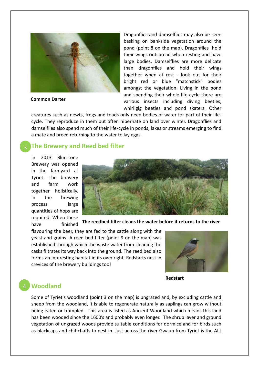

**Common Darter**

Dragonflies and damselflies may also be seen basking on bankside vegetation around the pond (point 8 on the map). Dragonflies hold their wings outspread when resting and have large bodies. Damselflies are more delicate than dragonflies and hold their wings together when at rest - look out for their bright red or blue "matchstick" bodies amongst the vegetation. Living in the pond and spending their whole life-cycle there are various insects including diving beetles, whirligig beetles and pond skaters. Other

creatures such as newts, frogs and toads only need bodies of water for part of their lifecycle. They reproduce in them but often hibernate on land over winter. Dragonflies and damselflies also spend much of their life-cycle in ponds, lakes or streams emerging to find a mate and breed returning to the water to lay eggs.

## **The Brewery and Reed bed filter**

In 2013 Bluestone Brewery was opened in the farmyard at Tyriet. The brewery and farm work together holistically. In the brewing process large quantities of hops are required. When these have finished



**The reedbed filter cleans the water before it returns to the river** 

flavouring the beer, they are fed to the cattle along with the yeast and grains! A reed bed filter (point 9 on the map) was established through which the waste water from cleaning the casks filtrates its way back into the ground. The reed bed also forms an interesting habitat in its own right. Redstarts nest in crevices of the brewery buildings too!



#### **Redstart**

#### **Woodland**

Some of Tyriet's woodland (point 3 on the map) is ungrazed and, by excluding cattle and sheep from the woodland, it is able to regenerate naturally as saplings can grow without being eaten or trampled. This area is listed as Ancient Woodland which means this land has been wooded since the 1600's and probably even longer. The shrub layer and ground vegetation of ungrazed woods provide suitable conditions for dormice and for birds such as blackcaps and chiffchaffs to nest in. Just across the river Gwaun from Tyriet is the Allt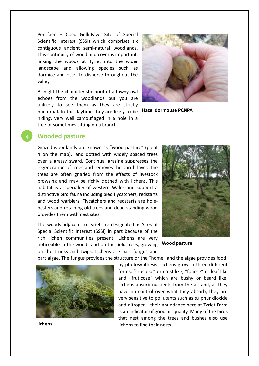Pontfaen – Coed Gelli-Fawr Site of Special Scientific Interest (SSSI) which comprises six contiguous ancient semi-natural woodlands. This continuity of woodland cover is important, linking the woods at Tyriet into the wider landscape and allowing species such as dormice and otter to disperse throughout the valley.

At night the characteristic hoot of a tawny owl echoes from the woodlands but you are unlikely to see them as they are strictly nocturnal. In the daytime they are likely to be hiding, very well camouflaged in a hole in a tree or sometimes sitting on a branch.



**Hazel dormouse PCNPA**

#### **Wooded pasture**

Grazed woodlands are known as "wood pasture" (point 4 on the map), land dotted with widely spaced trees over a grassy sward. Continual grazing suppresses the regeneration of trees and removes the shrub layer. The trees are often gnarled from the effects of livestock browsing and may be richly clothed with lichens. This habitat is a speciality of western Wales and support a distinctive bird fauna including pied flycatchers, redstarts and wood warblers. Flycatchers and redstarts are holenesters and retaining old trees and dead standing wood provides them with nest sites.

The woods adjacent to Tyriet are designated as Sites of Special Scientific Interest (SSSI) in part because of the rich lichen communities present. Lichens are very noticeable in the woods and on the field trees, growing **Wood pasture** on the trunks and twigs. Lichens are part fungus and



part algae. The fungus provides the structure or the "home" and the algae provides food,

by photosynthesis. Lichens grow in three different forms, "crustose" or crust like, "foliose" or leaf like and "fruticose" which are bushy or beard like. Lichens absorb nutrients from the air and, as they have no control over what they absorb, they are very sensitive to pollutants such as sulphur dioxide and nitrogen - their abundance here at Tyriet Farm is an indicator of good air quality. Many of the birds that nest among the trees and bushes also use lichens to line their nests!



**Lichens**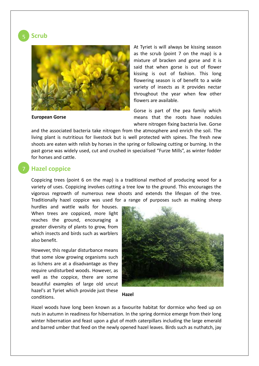**Scrub** 



**European Gorse**

At Tyriet is will always be kissing season as the scrub (point 7 on the map) is a mixture of bracken and gorse and it is said that when gorse is out of flower kissing is out of fashion. This long flowering season is of benefit to a wide variety of insects as it provides nectar throughout the year when few other flowers are available.

Gorse is part of the pea family which means that the roots have nodules where nitrogen fixing bacteria live. Gorse

and the associated bacteria take nitrogen from the atmosphere and enrich the soil. The living plant is nutritious for livestock but is well protected with spines. The fresh new shoots are eaten with relish by horses in the spring or following cutting or burning. In the past gorse was widely used, cut and crushed in specialised "Furze Mills", as winter fodder for horses and cattle.

#### **Hazel coppice**

Coppicing trees (point 6 on the map) is a traditional method of producing wood for a variety of uses. Coppicing involves cutting a tree low to the ground. This encourages the vigorous regrowth of numerous new shoots and extends the lifespan of the tree. Traditionally hazel coppice was used for a range of purposes such as making sheep

hurdles and wattle walls for houses. When trees are coppiced, more light reaches the ground, encouraging a greater diversity of plants to grow, from which insects and birds such as warblers also benefit.

However, this regular disturbance means that some slow growing organisms such as lichens are at a disadvantage as they require undisturbed woods. However, as well as the coppice, there are some beautiful examples of large old uncut hazel's at Tyriet which provide just these conditions.





Hazel woods have long been known as a favourite habitat for dormice who feed up on nuts in autumn in readiness for hibernation. In the spring dormice emerge from their long winter hibernation and feast upon a glut of moth caterpillars including the large emerald and barred umber that feed on the newly opened hazel leaves. Birds such as nuthatch, jay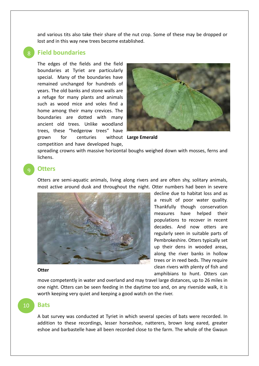and various tits also take their share of the nut crop. Some of these may be dropped or lost and in this way new trees become established.

#### **Field boundaries** 8

The edges of the fields and the field boundaries at Tyriet are particularly special. Many of the boundaries have remained unchanged for hundreds of years. The old banks and stone walls are a refuge for many plants and animals such as wood mice and voles find a home among their many crevices. The boundaries are dotted with many ancient old trees. Unlike woodland trees, these "hedgerow trees" have grown for centuries

competition and have developed huge,



**Large Emerald**

spreading crowns with massive horizontal boughs weighed down with mosses, ferns and lichens.

### **Otters**

9

Otters are semi-aquatic animals, living along rivers and are often shy, solitary animals, most active around dusk and throughout the night. Otter numbers had been in severe



decline due to habitat loss and as a result of poor water quality. Thankfully though conservation measures have helped their populations to recover in recent decades. And now otters are regularly seen in suitable parts of Pembrokeshire. Otters typically set up their dens in wooded areas, along the river banks in hollow trees or in reed beds. They require clean rivers with plenty of fish and amphibians to hunt. Otters can

#### **Otter**

move competently in water and overland and may travel large distances, up to 26 miles in one night. Otters can be seen feeding in the daytime too and, on any riverside walk, it is worth keeping very quiet and keeping a good watch on the river.

## 10

#### **Bats**

A bat survey was conducted at Tyriet in which several species of bats were recorded. In addition to these recordings, lesser horseshoe, natterers, brown long eared, greater eshoe and barbastelle have all been recorded close to the farm. The whole of the Gwaun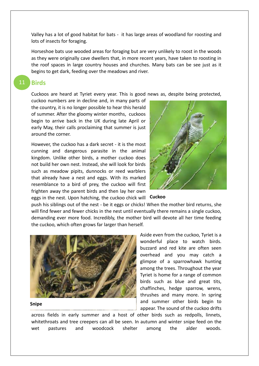Valley has a lot of good habitat for bats - it has large areas of woodland for roosting and lots of insects for foraging.

Horseshoe bats use wooded areas for foraging but are very unlikely to roost in the woods as they were originally cave dwellers that, in more recent years, have taken to roosting in the roof spaces in large country houses and churches. Many bats can be see just as it begins to get dark, feeding over the meadows and river.

#### **Birds** 11

Cuckoos are heard at Tyriet every year. This is good news as, despite being protected,

cuckoo numbers are in decline and, in many parts of the country, it is no longer possible to hear this herald of summer. After the gloomy winter months, cuckoos begin to arrive back in the UK during late April or early May, their calls proclaiming that summer is just around the corner.

However, the cuckoo has a dark secret - it is the most cunning and dangerous parasite in the animal kingdom. Unlike other birds, a mother cuckoo does not build her own nest. Instead, she will look for birds such as meadow pipits, dunnocks or reed warblers that already have a nest and eggs. With its marked resemblance to a bird of prey, the cuckoo will first frighten away the parent birds and then lay her own eggs in the nest. Upon hatching, the cuckoo chick will **Cuckoo**



push his siblings out of the nest - be it eggs or chicks! When the mother bird returns, she will find fewer and fewer chicks in the nest until eventually there remains a single cuckoo, demanding ever more food. Incredibly, the mother bird will devote all her time feeding the cuckoo, which often grows far larger than herself.



#### **Snipe**

Aside even from the cuckoo, Tyriet is a wonderful place to watch birds. buzzard and red kite are often seen overhead and you may catch a glimpse of a sparrowhawk hunting among the trees. Throughout the year Tyriet is home for a range of common birds such as blue and great tits, chaffinches, hedge sparrow, wrens, thrushes and many more. In spring and summer other birds begin to appear. The sound of the cuckoo drifts

across fields in early summer and a host of other birds such as redpolls, linnets, whitethroats and tree creepers can all be seen. In autumn and winter snipe feed on the wet pastures and woodcock shelter among the alder woods.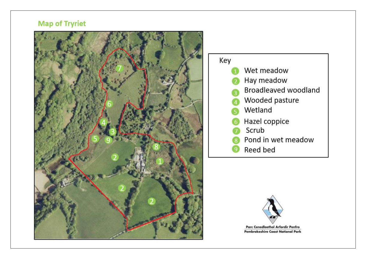## **Map of Tryriet**







Parc Cenedlaethol Arfordir Penfro **Pembrokeshire Coast National Park**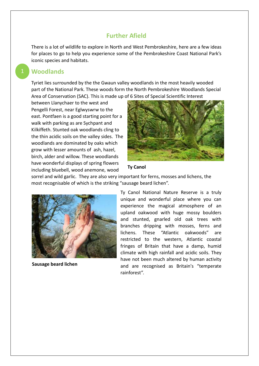#### **Further Afield**

There is a lot of wildlife to explore in North and West Pembrokeshire, here are a few ideas for places to go to help you experience some of the Pembrokeshire Coast National Park's iconic species and habitats.

#### **Woodlands**

Tyriet lies surrounded by the the Gwaun valley woodlands in the most heavily wooded part of the National Park. These woods form the North Pembrokeshire Woodlands Special Area of Conservation (SAC). This is made up of 6 Sites of Special Scientific Interest

between Llanychaer to the west and Pengelli Forest, near Eglwyswrw to the east. Pontfaen is a good starting point for a walk with parking as are Sychpant and Kilkiffeth. Stunted oak woodlands cling to the thin acidic soils on the valley sides. The woodlands are dominated by oaks which grow with lesser amounts of ash, hazel, birch, alder and willow. These woodlands have wonderful displays of spring flowers including bluebell, wood anemone, wood



#### **Ty Canol**

sorrel and wild garlic. They are also very important for ferns, mosses and lichens, the most recognisable of which is the striking "sausage beard lichen".



**Sausage beard lichen**

Ty Canol National Nature Reserve is a truly unique and wonderful place where you can experience the magical atmosphere of an upland oakwood with huge mossy boulders and stunted, gnarled old oak trees with branches dripping with mosses, ferns and lichens. These "Atlantic oakwoods" are restricted to the western, Atlantic coastal fringes of Britain that have a damp, humid climate with high rainfall and acidic soils. They have not been much altered by human activity and are recognised as Britain's "temperate rainforest".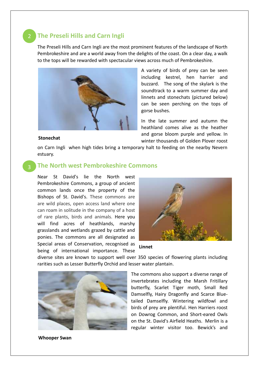## **The Preseli Hills and Carn Ingli** 2

The Preseli Hills and Carn Ingli are the most prominent features of the landscape of North Pembrokeshire and are a world away from the delights of the coast. On a clear day, a walk to the tops will be rewarded with spectacular views across much of Pembrokeshire.



A variety of birds of prey can be seen including kestrel, hen harrier and buzzard. The song of the skylark is the soundtrack to a warm summer day and linnets and stonechats (pictured below) can be seen perching on the tops of gorse bushes.

In the late summer and autumn the heathland comes alive as the heather and gorse bloom purple and yellow. In winter thousands of Golden Plover roost

#### **Stonechat**

on Carn Ingli when high tides bring a temporary halt to feeding on the nearby Nevern estuary.

#### **The North west Pembrokeshire Commons**

Near St David's lie the North west Pembrokeshire Commons, a group of ancient common lands once the property of the Bishops of St. David's. These commons are are wild places, open access land where one can roam in solitude in the company of a host of rare plants, birds and animals. Here you will find acres of heathlands, marshy grasslands and wetlands grazed by cattle and ponies. The commons are all designated as Special areas of Conservation, recognised as being of international importance. These





diverse sites are known to support well over 350 species of flowering plants including rarities such as Lesser Butterfly Orchid and lesser water plantain.

The commons also support a diverse range of invertebrates including the Marsh Fritillary butterfly, Scarlet Tiger moth, Small Red Damselfly, Hairy Dragonfly and Scarce Bluetailed Damselfly. Wintering wildfowl and birds of prey are plentiful. Hen Harriers roost on Dowrog Common, and Short-eared Owls on the St. David's Airfield Heaths. Merlin is a regular winter visitor too. Bewick's and

**Whooper Swan**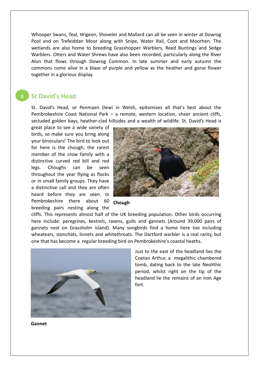Whooper Swans, Teal, Wigeon, Shoveler and Mallard can all be seen in winter at Dowrog Pool and on Trefeiddan Moor along with Snipe, Water Rail, Coot and Moorhen. The wetlands are also home to breeding Grasshopper Warblers, Reed Buntings and Sedge Warblers. Otters and Water Shrews have also been recorded, particularly along the River Alun that flows through Dowrog Common. In late summer and early autumn the commons come alive in a blaze of purple and yellow as the heather and gorse flower together in a glorious display.

## **St David's Head**

St. David's Head, or Penmaen Dewi in Welsh, epitomises all that's best about the Pembrokeshire Coast National Park – a remote, western location, sheer ancient cliffs, secluded golden bays, heather-clad hillsides and a wealth of wildlife. St. David's Head is

great place to see a wide variety of birds, so make sure you bring along your binoculars! The bird to look out for here is the chough, the rarest member of the crow family with a distinctive curved red bill and red legs. Choughs can be seen throughout the year flying as flocks or in small family groups. They have a distinctive call and they are often heard before they are seen. In Pembrokeshire there about 60 **Chough** breeding pairs nesting along the



cliffs. This represents almost half of the UK breeding population. Other birds occurring here include: peregrines, kestrels, ravens, gulls and gannets (Around 39,000 pairs of gannets nest on Grassholm island). Many songbirds find a home here too including wheatears, stonchats, linnets and whitethroats. The Dartford warbler is a real rarity, but one that has become a regular breeding bird on Pembrokeshire's coastal heaths.



Just to the east of the headland lies the Coetan Arthur, a megalithic chambered tomb, dating back to the late Neolithic period, whilst right on the tip of the headland lie the remains of an Iron Age fort.

**Gannet**